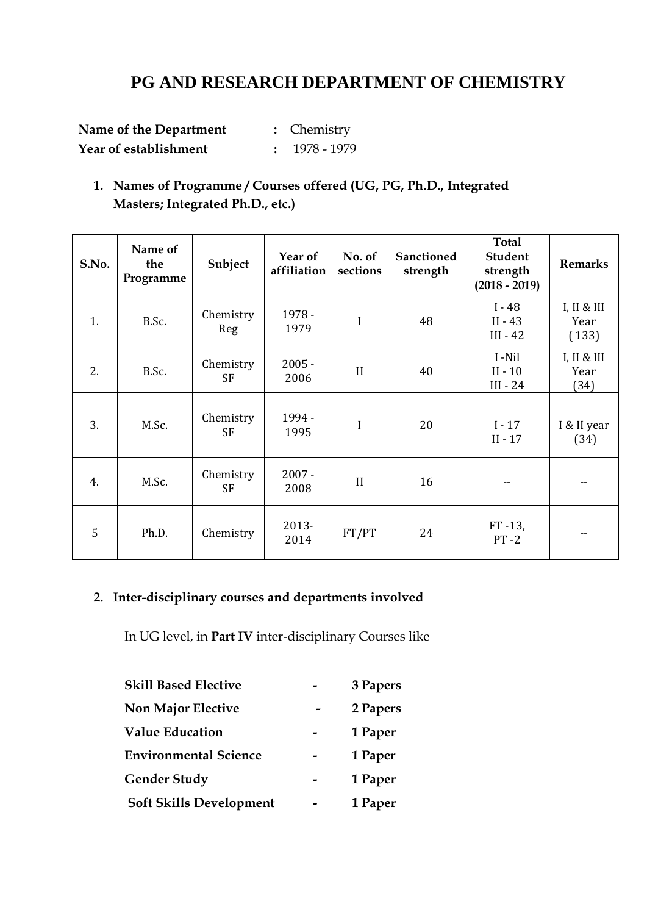# **PG AND RESEARCH DEPARTMENT OF CHEMISTRY**

| Name of the Department | : Chemistry     |
|------------------------|-----------------|
| Year of establishment  | $: 1978 - 1979$ |

**1. Names of Programme / Courses offered (UG, PG, Ph.D., Integrated Masters; Integrated Ph.D., etc.)**

| S.No. | Name of<br>the<br>Programme | Subject                | Year of<br>affiliation | No. of<br>sections | <b>Sanctioned</b><br>strength | Total<br><b>Student</b><br>strength<br>$(2018 - 2019)$ | <b>Remarks</b>              |
|-------|-----------------------------|------------------------|------------------------|--------------------|-------------------------------|--------------------------------------------------------|-----------------------------|
| 1.    | B.Sc.                       | Chemistry<br>Reg       | 1978 -<br>1979         | I                  | 48                            | $I - 48$<br>$II - 43$<br>$III - 42$                    | I, II & II<br>Year<br>(133) |
| 2.    | B.Sc.                       | Chemistry<br>SF        | $2005 -$<br>2006       | II                 | 40                            | I-Nil<br>$II - 10$<br>$III - 24$                       | I, II & III<br>Year<br>(34) |
| 3.    | M.Sc.                       | Chemistry<br><b>SF</b> | 1994 -<br>1995         | I                  | 20                            | $I - 17$<br>$II - 17$                                  | I & II year<br>(34)         |
| 4.    | M.Sc.                       | Chemistry<br><b>SF</b> | $2007 -$<br>2008       | II                 | 16                            |                                                        |                             |
| 5     | Ph.D.                       | Chemistry              | 2013-<br>2014          | FT/PT              | 24                            | $FT - 13,$<br>$PT - 2$                                 | --                          |

# **2. Inter-disciplinary courses and departments involved**

In UG level, in **Part IV** inter-disciplinary Courses like

| <b>Skill Based Elective</b>    | 3 Papers |
|--------------------------------|----------|
| <b>Non Major Elective</b>      | 2 Papers |
| <b>Value Education</b>         | 1 Paper  |
| <b>Environmental Science</b>   | 1 Paper  |
| Gender Study                   | 1 Paper  |
| <b>Soft Skills Development</b> | 1 Paper  |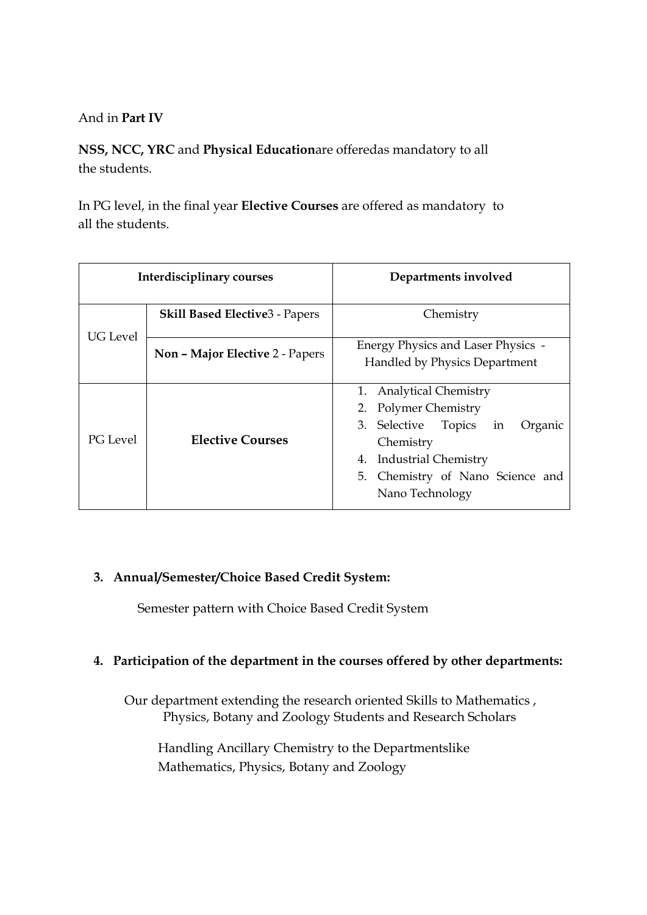### And in **Part IV**

**NSS, NCC, YRC** and **Physical Education**are offeredas mandatory to all the students.

In PG level, in the final year **Elective Courses** are offered as mandatory to all the students.

| Interdisciplinary courses |                                        | Departments involved                                                                                                                                                                |  |  |  |
|---------------------------|----------------------------------------|-------------------------------------------------------------------------------------------------------------------------------------------------------------------------------------|--|--|--|
| <b>UG</b> Level           | <b>Skill Based Elective 3 - Papers</b> | Chemistry                                                                                                                                                                           |  |  |  |
|                           | Non - Major Elective 2 - Papers        | Energy Physics and Laser Physics -<br>Handled by Physics Department                                                                                                                 |  |  |  |
| PG Level                  | <b>Elective Courses</b>                | 1. Analytical Chemistry<br>2. Polymer Chemistry<br>3. Selective Topics in<br>Organic<br>Chemistry<br>4. Industrial Chemistry<br>5. Chemistry of Nano Science and<br>Nano Technology |  |  |  |

#### **3. Annual/Semester/Choice Based Credit System:**

Semester pattern with Choice Based Credit System

#### **4. Participation of the department in the courses offered by other departments:**

Our department extending the research oriented Skills to Mathematics , Physics, Botany and Zoology Students and Research Scholars

Handling Ancillary Chemistry to the Departmentslike Mathematics, Physics, Botany and Zoology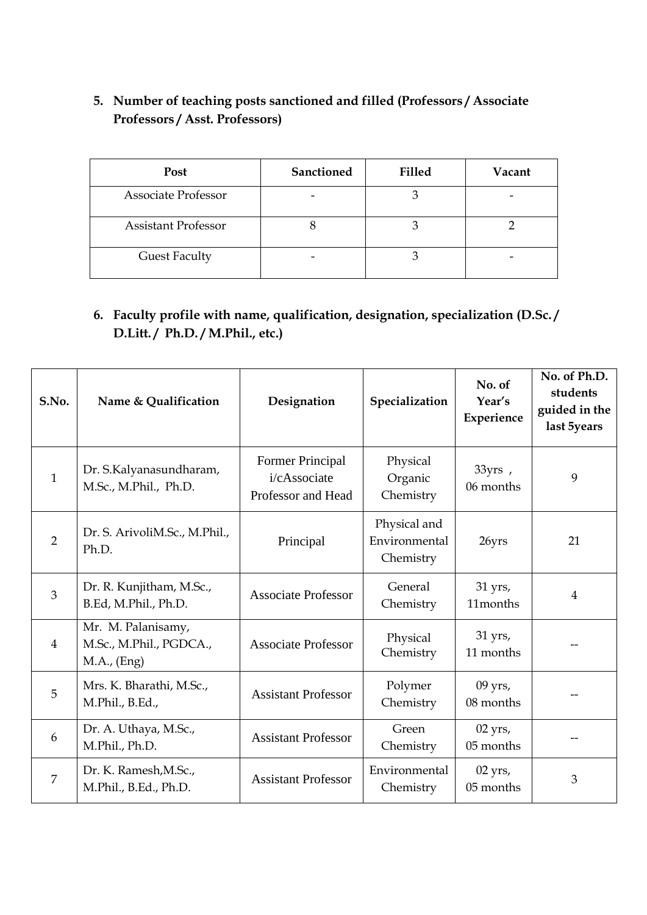## **5. Number of teaching posts sanctioned and filled (Professors / Associate Professors / Asst. Professors)**

| <b>Post</b>                | Sanctioned | <b>Filled</b> | Vacant |
|----------------------------|------------|---------------|--------|
| <b>Associate Professor</b> |            |               |        |
| <b>Assistant Professor</b> |            |               |        |
| <b>Guest Faculty</b>       |            |               |        |

## **6. Faculty profile with name, qualification, designation, specialization (D.Sc. / D.Litt. / Ph.D. / M.Phil., etc.)**

| S.No.          | Name & Qualification                                         | Designation                                                   | Specialization                             | No. of<br>Year's<br>Experience | No. of Ph.D.<br>students<br>guided in the<br>last 5years |
|----------------|--------------------------------------------------------------|---------------------------------------------------------------|--------------------------------------------|--------------------------------|----------------------------------------------------------|
| $\mathbf{1}$   | Dr. S.Kalyanasundharam,<br>M.Sc., M.Phil., Ph.D.             | <b>Former Principal</b><br>i/cAssociate<br>Professor and Head | Physical<br>Organic<br>Chemistry           | 33yrs,<br>06 months            | 9                                                        |
| $\overline{2}$ | Dr. S. ArivoliM.Sc., M.Phil.,<br>Ph.D.                       | Principal                                                     | Physical and<br>Environmental<br>Chemistry | 26yrs                          | 21                                                       |
| $\overline{3}$ | Dr. R. Kunjitham, M.Sc.,<br>B.Ed, M.Phil., Ph.D.             | <b>Associate Professor</b>                                    | General<br>Chemistry                       | 31 yrs,<br>11months            | $\overline{4}$                                           |
| $\overline{4}$ | Mr. M. Palanisamy,<br>M.Sc., M.Phil., PGDCA.,<br>M.A., (Eng) | <b>Associate Professor</b>                                    | Physical<br>Chemistry                      | $31$ yrs,<br>11 months         |                                                          |
| 5              | Mrs. K. Bharathi, M.Sc.,<br>M.Phil., B.Ed.,                  | <b>Assistant Professor</b>                                    | Polymer<br>Chemistry                       | $09$ yrs,<br>08 months         |                                                          |
| 6              | Dr. A. Uthaya, M.Sc.,<br>M.Phil., Ph.D.                      | <b>Assistant Professor</b>                                    | Green<br>Chemistry                         | $02$ yrs,<br>05 months         |                                                          |
| 7              | Dr. K. Ramesh, M.Sc.,<br>M.Phil., B.Ed., Ph.D.               | <b>Assistant Professor</b>                                    | Environmental<br>Chemistry                 | $02$ yrs,<br>05 months         | 3                                                        |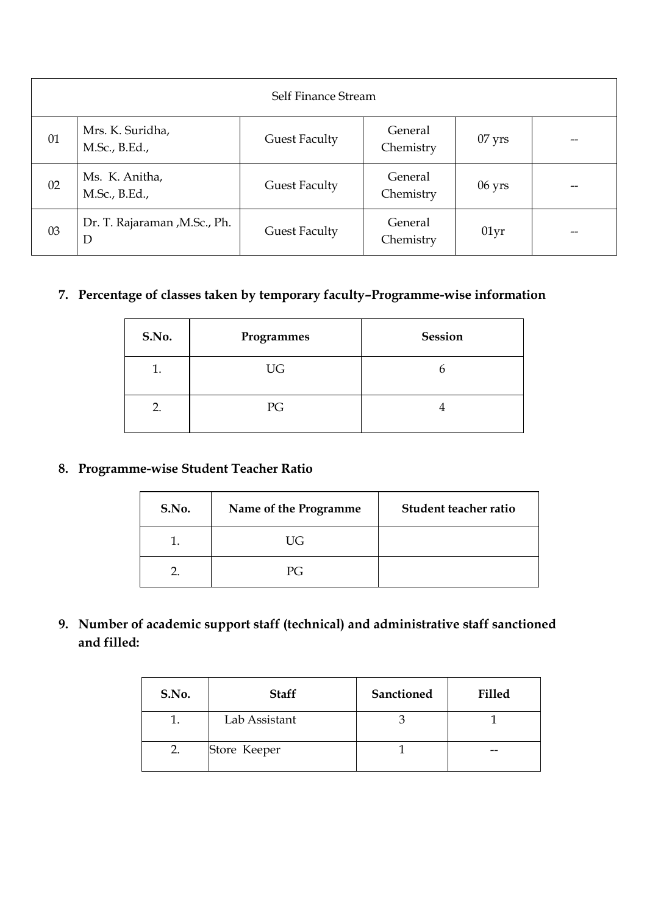|    | Self Finance Stream                |                      |                      |                  |    |  |  |
|----|------------------------------------|----------------------|----------------------|------------------|----|--|--|
| 01 | Mrs. K. Suridha,<br>M.Sc., B.Ed.,  | <b>Guest Faculty</b> | General<br>Chemistry | $07$ yrs         |    |  |  |
| 02 | Ms. K. Anitha,<br>M.Sc., B.Ed.,    | <b>Guest Faculty</b> | General<br>Chemistry | $06 \text{ yrs}$ |    |  |  |
| 03 | Dr. T. Rajaraman , M.Sc., Ph.<br>D | <b>Guest Faculty</b> | General<br>Chemistry | 01yr             | -- |  |  |

# **7. Percentage of classes taken by temporary faculty–Programme-wise information**

| S.No. | Programmes | Session |
|-------|------------|---------|
| 1.    | UG         | n       |
| 2.    | PG         |         |

### **8. Programme-wise Student Teacher Ratio**

| S.No. | Name of the Programme | Student teacher ratio |
|-------|-----------------------|-----------------------|
|       | UG                    |                       |
|       | PG.                   |                       |

**9. Number of academic support staff (technical) and administrative staff sanctioned and filled:**

| S.No. | <b>Staff</b>  | <b>Sanctioned</b> | <b>Filled</b> |
|-------|---------------|-------------------|---------------|
|       | Lab Assistant |                   |               |
|       | Store Keeper  |                   |               |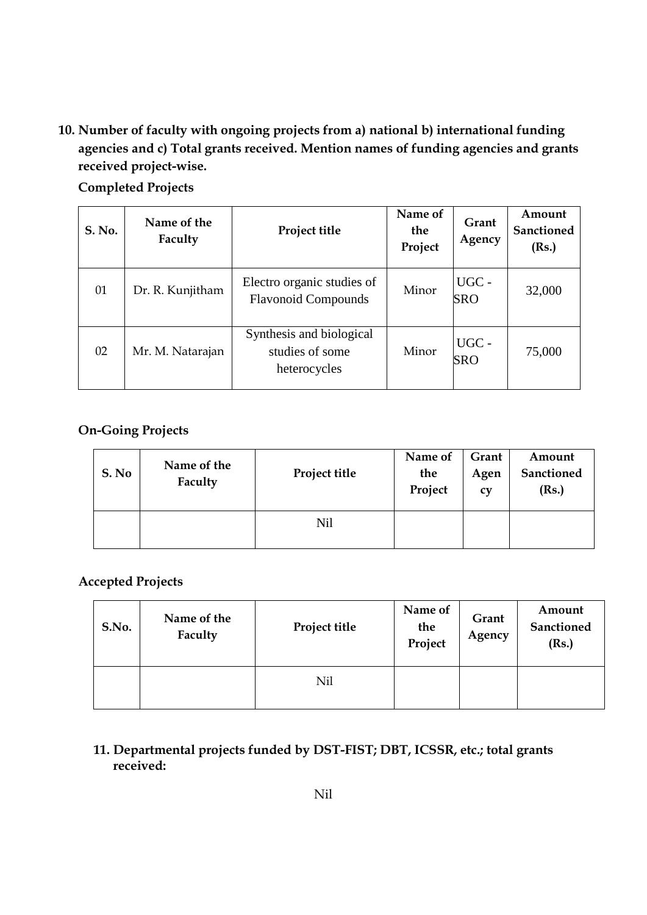**10. Number of faculty with ongoing projects from a) national b) international funding agencies and c) Total grants received. Mention names of funding agencies and grants received project-wise.**

**Completed Projects**

| <b>S. No.</b> | Name of the<br>Faculty | Project title                                               | Name of<br>the<br>Project | Grant<br>Agency     | Amount<br>Sanctioned<br>(Rs.) |
|---------------|------------------------|-------------------------------------------------------------|---------------------------|---------------------|-------------------------------|
| 01            | Dr. R. Kunjitham       | Electro organic studies of<br><b>Flavonoid Compounds</b>    | Minor                     | UGC -<br><b>SRO</b> | 32,000                        |
| 02            | Mr. M. Natarajan       | Synthesis and biological<br>studies of some<br>heterocycles | Minor                     | UGC -<br>SRO        | 75,000                        |

### **On-Going Projects**

| S. No | Name of the<br>Faculty | Project title | Name of<br>the<br>Project | Grant<br>Agen<br>CV | Amount<br>Sanctioned<br>(Rs.) |
|-------|------------------------|---------------|---------------------------|---------------------|-------------------------------|
|       |                        | Nil           |                           |                     |                               |

### **Accepted Projects**

| S.No. | Name of the<br>Faculty | Project title | Name of<br>the<br>Project | Grant<br>Agency | Amount<br>Sanctioned<br>(Rs.) |
|-------|------------------------|---------------|---------------------------|-----------------|-------------------------------|
|       |                        | Nil           |                           |                 |                               |

#### **11. Departmental projects funded by DST-FIST; DBT, ICSSR, etc.; total grants received:**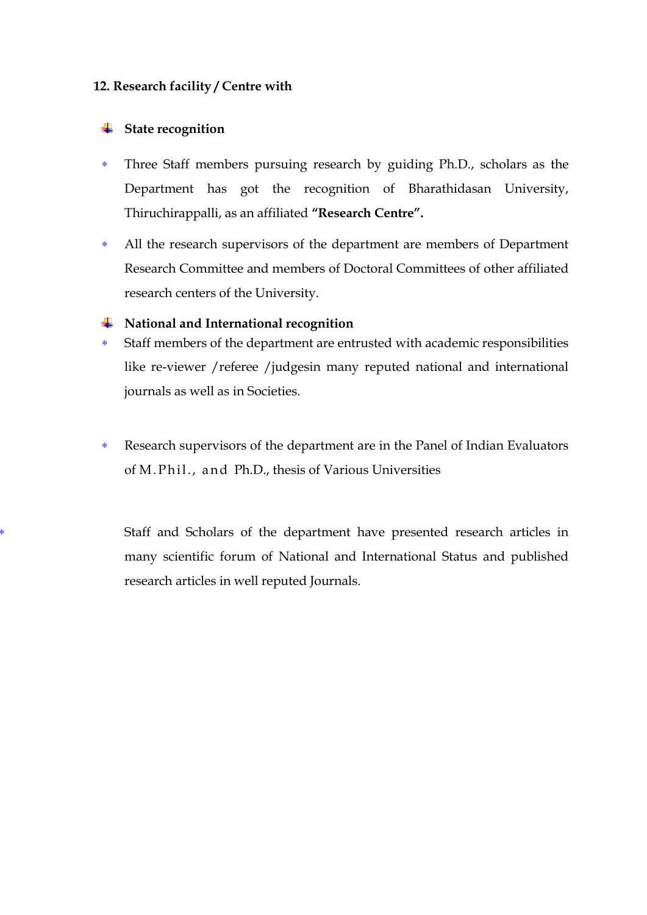#### **12. Research facility / Centre with**

#### **State recognition**

- Three Staff members pursuing research by guiding Ph.D., scholars as the Department has got the recognition of Bharathidasan University, Thiruchirappalli, as an affiliated **"Research Centre".**
- All the research supervisors of the department are members of Department Research Committee and members of Doctoral Committees of other affiliated research centers of the University.

#### **National and International recognition**

- Staff members of the department are entrusted with academic responsibilities like re-viewer /referee /judgesin many reputed national and international journals as well as in Societies.
- Research supervisors of the department are in the Panel of Indian Evaluators of M. Phil., and Ph.D., thesis of Various Universities

 Staff and Scholars of the department have presented research articles in many scientific forum of National and International Status and published research articles in well reputed Journals.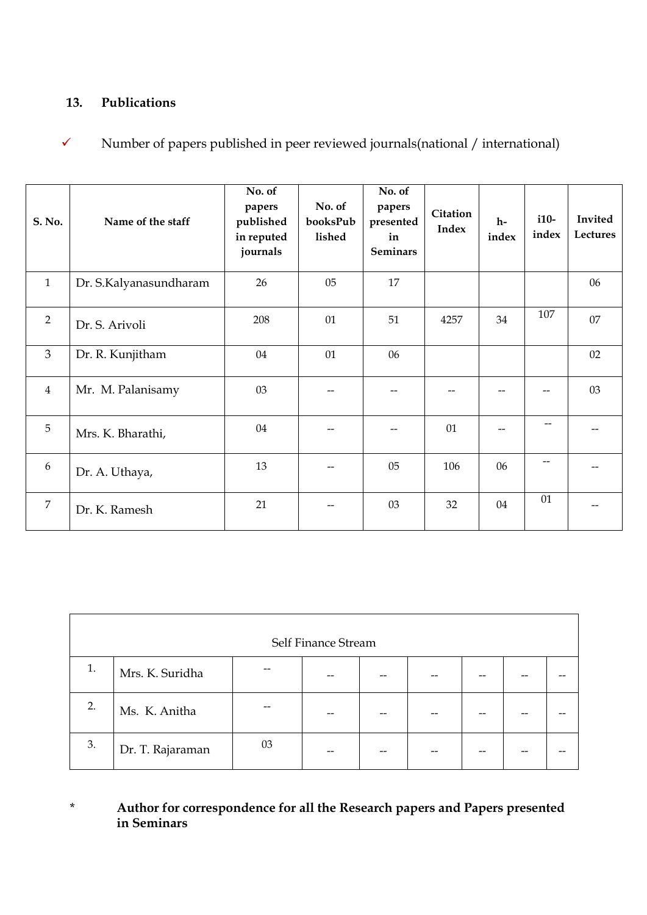#### **13. Publications**

 $\checkmark$  Number of papers published in peer reviewed journals(national / international)

| S. No.         | Name of the staff      | No. of<br>papers<br>published<br>in reputed<br>journals | No. of<br>booksPub<br>lished | No. of<br>papers<br>presented<br>in<br><b>Seminars</b> | Citation<br>Index | $h-$<br>index | $i10-$<br>index          | Invited<br>Lectures |
|----------------|------------------------|---------------------------------------------------------|------------------------------|--------------------------------------------------------|-------------------|---------------|--------------------------|---------------------|
| $\mathbf{1}$   | Dr. S.Kalyanasundharam | 26                                                      | 05                           | 17                                                     |                   |               |                          | 06                  |
| $\overline{2}$ | Dr. S. Arivoli         | 208                                                     | 01                           | 51                                                     | 4257              | 34            | 107                      | 07                  |
| 3              | Dr. R. Kunjitham       | 04                                                      | 01                           | 06                                                     |                   |               |                          | 02                  |
| $\overline{4}$ | Mr. M. Palanisamy      | 03                                                      |                              |                                                        |                   |               | --                       | 03                  |
| 5              | Mrs. K. Bharathi,      | 04                                                      |                              |                                                        | 01                |               | $\overline{\phantom{a}}$ |                     |
| 6              | Dr. A. Uthaya,         | 13                                                      |                              | 05                                                     | 106               | 06            | $-$                      |                     |
| $\overline{7}$ | Dr. K. Ramesh          | 21                                                      |                              | 03                                                     | 32                | 04            | 01                       |                     |

|    | Self Finance Stream |    |    |  |  |    |  |  |  |  |  |
|----|---------------------|----|----|--|--|----|--|--|--|--|--|
| 1. | Mrs. K. Suridha     | -- |    |  |  |    |  |  |  |  |  |
| 2. | Ms. K. Anitha       |    | -- |  |  |    |  |  |  |  |  |
| 3. | Dr. T. Rajaraman    | 03 | -- |  |  | -- |  |  |  |  |  |

\* **Author for correspondence for all the Research papers and Papers presented in Seminars**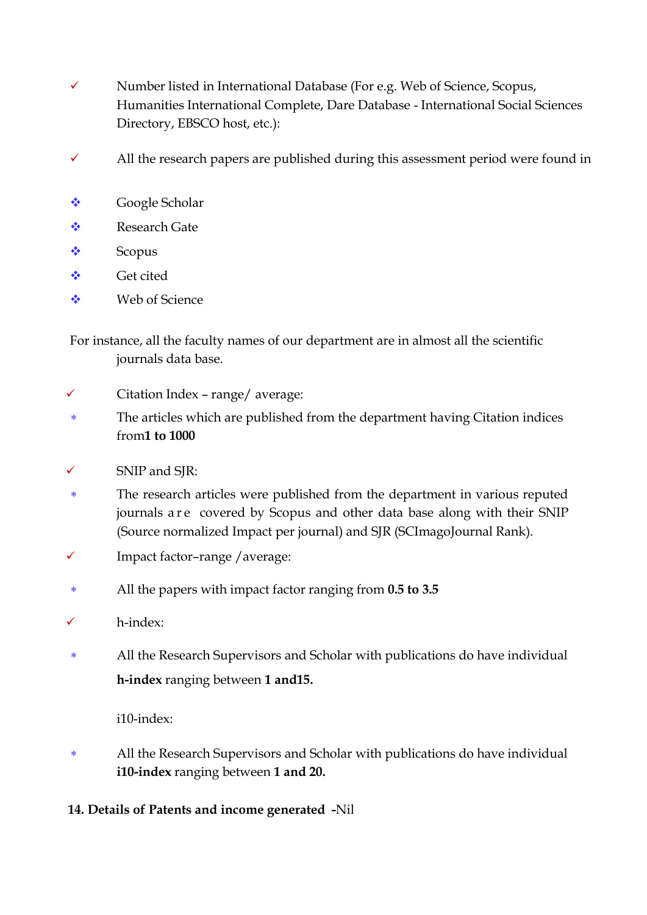- $\checkmark$  Number listed in International Database (For e.g. Web of Science, Scopus, Humanities International Complete, Dare Database - International Social Sciences Directory, EBSCO host, etc.):
- $\checkmark$  All the research papers are published during this assessment period were found in
- ◆ Google Scholar
- **◆ Research Gate**
- ❖ Scopus
- **◆** Get cited
- Web of Science

For instance, all the faculty names of our department are in almost all the scientific journals data base.

- $\checkmark$  Citation Index range/ average:
- The articles which are published from the department having Citation indices from**1 to 1000**
- SNIP and SJR:
- The research articles were published from the department in various reputed journals a re covered by Scopus and other data base along with their SNIP (Source normalized Impact per journal) and SJR (SCImagoJournal Rank).
- Impact factor–range /average:
- All the papers with impact factor ranging from **0.5 to 3.5**
- h-index:
- All the Research Supervisors and Scholar with publications do have individual **h-index** ranging between **1 and15.**

i10-index:

- All the Research Supervisors and Scholar with publications do have individual **i10-index** ranging between **1 and 20.**
- **14. Details of Patents and income generated -**Nil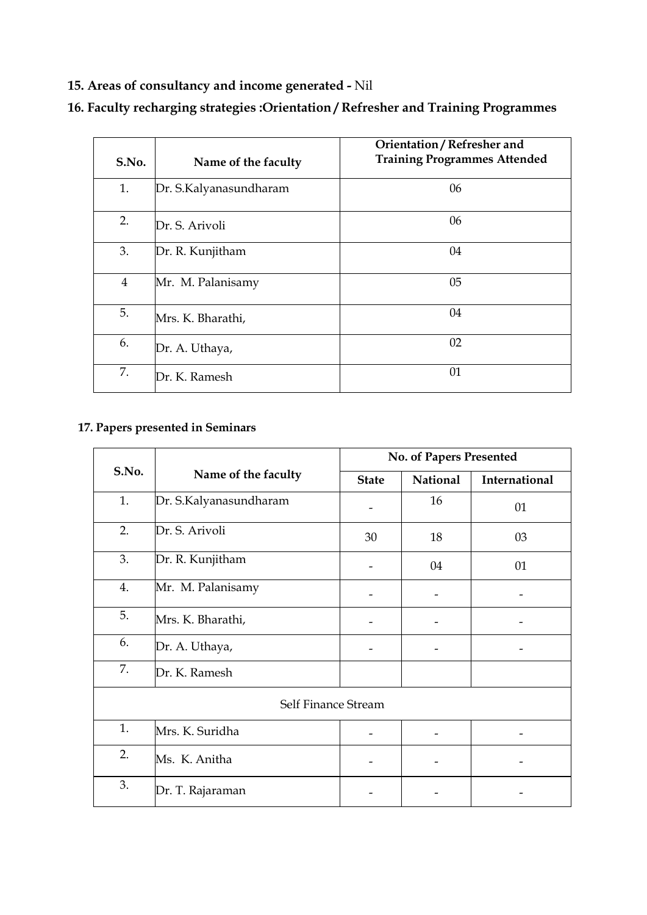# **15. Areas of consultancy and income generated -** Nil

| S.No.          | Name of the faculty    | Orientation / Refresher and<br><b>Training Programmes Attended</b> |
|----------------|------------------------|--------------------------------------------------------------------|
| 1.             | Dr. S.Kalyanasundharam | 06                                                                 |
| 2.             | Dr. S. Arivoli         | 06                                                                 |
| 3.             | Dr. R. Kunjitham       | 04                                                                 |
| $\overline{4}$ | Mr. M. Palanisamy      | 05                                                                 |
| 5.             | Mrs. K. Bharathi,      | 04                                                                 |
| 6.             | Dr. A. Uthaya,         | 02                                                                 |
| 7.             | Dr. K. Ramesh          | 01                                                                 |

# **16. Faculty recharging strategies :Orientation / Refresher and Training Programmes**

# **17. Papers presented in Seminars**

|       |                        |              | No. of Papers Presented |               |
|-------|------------------------|--------------|-------------------------|---------------|
| S.No. | Name of the faculty    | <b>State</b> | <b>National</b>         | International |
| 1.    | Dr. S.Kalyanasundharam |              | 16                      | 01            |
| 2.    | Dr. S. Arivoli         |              | 18                      | 03            |
| 3.    | Dr. R. Kunjitham       |              | 04                      | 01            |
| 4.    | Mr. M. Palanisamy      |              |                         |               |
| 5.    | Mrs. K. Bharathi,      |              |                         |               |
| 6.    | Dr. A. Uthaya,         |              |                         |               |
| 7.    | Dr. K. Ramesh          |              |                         |               |
|       | Self Finance Stream    |              |                         |               |
| 1.    | Mrs. K. Suridha        |              |                         |               |
| 2.    | Ms. K. Anitha          | -            |                         |               |
| 3.    | Dr. T. Rajaraman       |              |                         |               |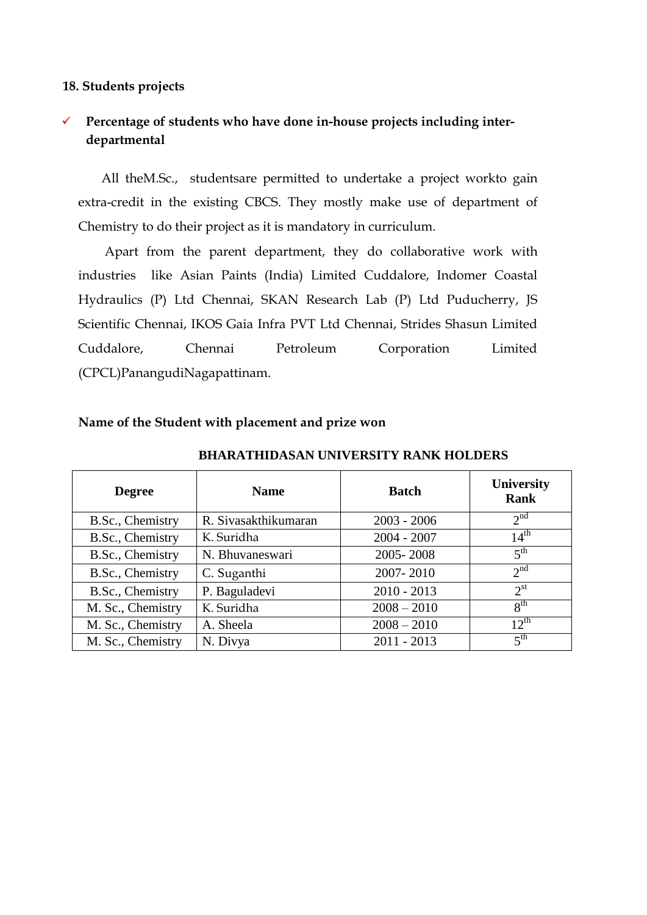#### **18. Students projects**

## **Percentage of students who have done in-house projects including interdepartmental**

All theM.Sc., studentsare permitted to undertake a project workto gain extra-credit in the existing CBCS. They mostly make use of department of Chemistry to do their project as it is mandatory in curriculum.

Apart from the parent department, they do collaborative work with industries like Asian Paints (India) Limited Cuddalore, Indomer Coastal Hydraulics (P) Ltd Chennai, SKAN Research Lab (P) Ltd Puducherry, JS Scientific Chennai, IKOS Gaia Infra PVT Ltd Chennai, Strides Shasun Limited Cuddalore, Chennai Petroleum Corporation Limited (CPCL)PanangudiNagapattinam.

| <b>Degree</b>     | <b>Name</b>          | <b>Batch</b>  | University<br><b>Rank</b> |
|-------------------|----------------------|---------------|---------------------------|
| B.Sc., Chemistry  | R. Sivasakthikumaran | $2003 - 2006$ | 2 <sup>nd</sup>           |
| B.Sc., Chemistry  | K. Suridha           | $2004 - 2007$ | $14^{\text{th}}$          |
| B.Sc., Chemistry  | N. Bhuvaneswari      | 2005-2008     | 5 <sup>th</sup>           |
| B.Sc., Chemistry  | C. Suganthi          | 2007-2010     | 2 <sup>nd</sup>           |
| B.Sc., Chemistry  | P. Baguladevi        | $2010 - 2013$ | $2^{\text{st}}$           |
| M. Sc., Chemistry | K. Suridha           | $2008 - 2010$ | 8 <sup>th</sup>           |
| M. Sc., Chemistry | A. Sheela            | $2008 - 2010$ | $12^{th}$                 |
| M. Sc., Chemistry | N. Divya             | $2011 - 2013$ | 5 <sup>th</sup>           |

**BHARATHIDASAN UNIVERSITY RANK HOLDERS**

#### **Name of the Student with placement and prize won**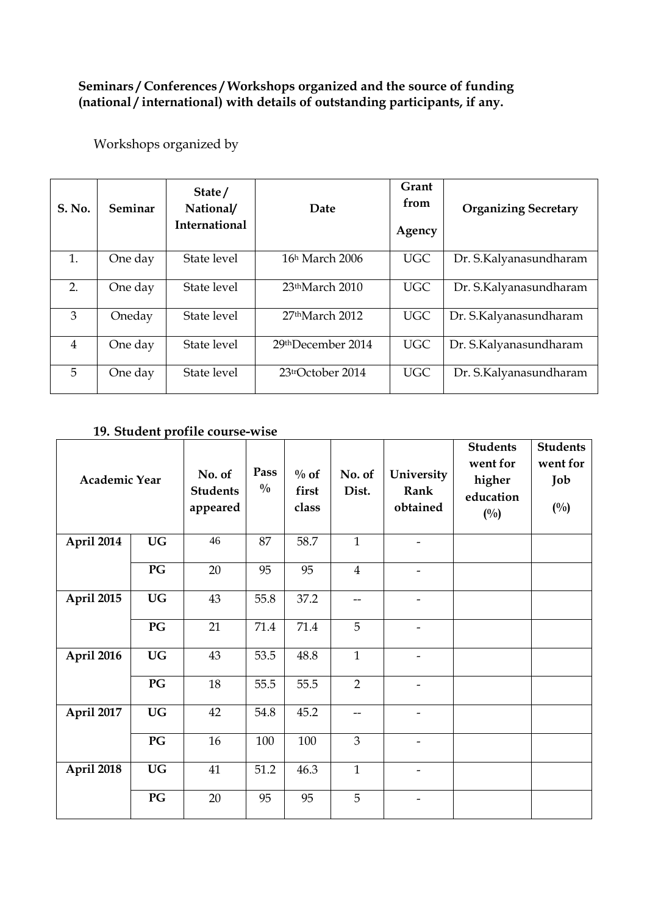#### **Seminars / Conferences / Workshops organized and the source of funding (national / international) with details of outstanding participants, if any.**

Workshops organized by

| S. No.         | Seminar | State/<br>National/<br><b>International</b> | <b>Date</b>                     | Grant<br>from<br>Agency | <b>Organizing Secretary</b> |
|----------------|---------|---------------------------------------------|---------------------------------|-------------------------|-----------------------------|
| 1.             | One day | State level                                 | 16h March 2006                  | <b>UGC</b>              | Dr. S.Kalyanasundharam      |
| 2.             | One day | State level                                 | 23 <sup>th</sup> March 2010     | <b>UGC</b>              | Dr. S.Kalyanasundharam      |
| 3              | Oneday  | State level                                 | $27th$ March 2012               | <b>UGC</b>              | Dr. S.Kalyanasundharam      |
| $\overline{4}$ | One day | State level                                 | 29thDecember 2014               | <b>UGC</b>              | Dr. S.Kalyanasundharam      |
| 5              | One day | State level                                 | $23$ <sup>tr</sup> October 2014 | <b>UGC</b>              | Dr. S.Kalyanasundharam      |

### **19. Student profile course-wise**

| <b>Academic Year</b> |           | No. of<br><b>Students</b><br>appeared | Pass<br>$\frac{0}{0}$ | $\%$ of<br>first<br>class | No. of<br>Dist. | University<br>Rank<br>obtained | <b>Students</b><br>went for<br>higher<br>education<br>$(^{0}/_{0})$ | <b>Students</b><br>went for<br>Job<br>$(^{0}/_{0})$ |
|----------------------|-----------|---------------------------------------|-----------------------|---------------------------|-----------------|--------------------------------|---------------------------------------------------------------------|-----------------------------------------------------|
| April 2014           | <b>UG</b> | 46                                    | 87                    | 58.7                      | $\mathbf{1}$    |                                |                                                                     |                                                     |
|                      | PG        | 20                                    | 95                    | 95                        | $\overline{4}$  | $\overline{\phantom{a}}$       |                                                                     |                                                     |
| April 2015           | <b>UG</b> | 43                                    | 55.8                  | 37.2                      | $-$             | $\overline{\phantom{a}}$       |                                                                     |                                                     |
|                      | PG        | 21                                    | 71.4                  | 71.4                      | 5               |                                |                                                                     |                                                     |
| April 2016           | <b>UG</b> | 43                                    | 53.5                  | 48.8                      | $\mathbf{1}$    | $\overline{\phantom{a}}$       |                                                                     |                                                     |
|                      | PG        | 18                                    | 55.5                  | 55.5                      | $\overline{2}$  | $\overline{\phantom{a}}$       |                                                                     |                                                     |
| April 2017           | <b>UG</b> | 42                                    | 54.8                  | 45.2                      | --              | $\qquad \qquad -$              |                                                                     |                                                     |
|                      | PG        | 16                                    | 100                   | 100                       | 3               | $\qquad \qquad \blacksquare$   |                                                                     |                                                     |
| April 2018           | <b>UG</b> | 41                                    | 51.2                  | 46.3                      | $\mathbf{1}$    | $\overline{\phantom{a}}$       |                                                                     |                                                     |
|                      | PG        | 20                                    | 95                    | 95                        | 5               | $\overline{\phantom{a}}$       |                                                                     |                                                     |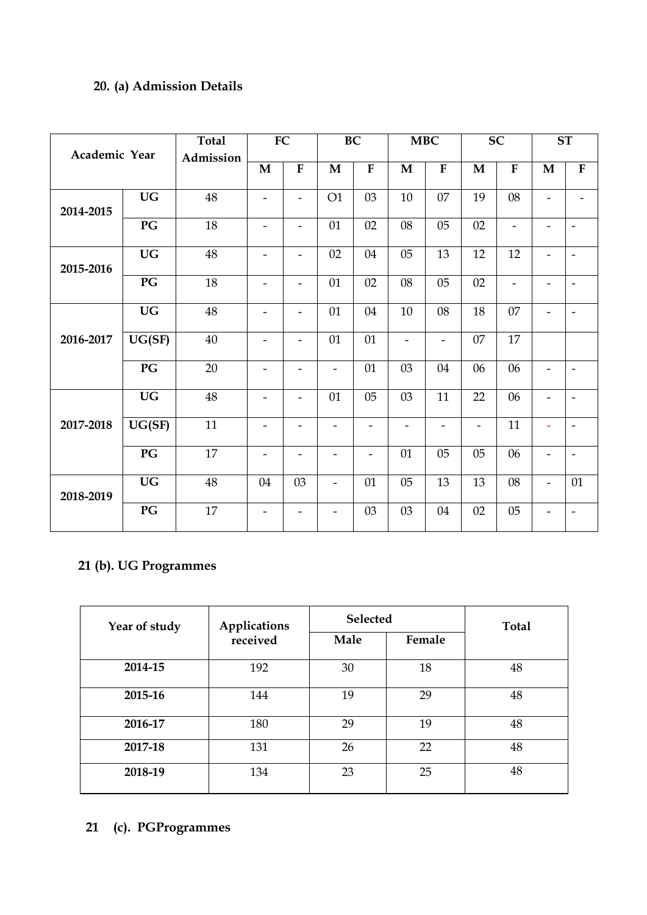# **20. (a) Admission Details**

| <b>Academic Year</b> |                        | <b>Total</b> |                              | ${\bf FC}$               |                          | BC                       |                          | <b>MBC</b>               |                          | <b>SC</b>                    |                          | ST                       |
|----------------------|------------------------|--------------|------------------------------|--------------------------|--------------------------|--------------------------|--------------------------|--------------------------|--------------------------|------------------------------|--------------------------|--------------------------|
|                      |                        | Admission    | $\mathbf M$                  | $\overline{\mathbf{F}}$  | $\mathbf M$              | $\overline{F}$           | $\mathbf M$              | $\overline{F}$           | $\mathbf{M}$             | ${\bf F}$                    | $\mathbf M$              | ${\bf F}$                |
| 2014-2015            | $\mathbf{U}\mathbf{G}$ | 48           | $\qquad \qquad \blacksquare$ | $\overline{\phantom{a}}$ | O1                       | 03                       | $10\,$                   | 07                       | 19                       | $08\,$                       | $\overline{\phantom{a}}$ | $\overline{\phantom{a}}$ |
|                      | PG                     | 18           | $\overline{\phantom{a}}$     | $\overline{\phantom{a}}$ | 01                       | 02                       | 08                       | 0 <sub>5</sub>           | 02                       | $\qquad \qquad \blacksquare$ | $\overline{\phantom{a}}$ | $\overline{\phantom{a}}$ |
| 2015-2016            | $\mathbf{U}\mathbf{G}$ | 48           | $\overline{\phantom{a}}$     | $\overline{\phantom{a}}$ | 02                       | 04                       | $05\,$                   | 13                       | 12                       | 12                           | $\overline{\phantom{a}}$ | $\overline{\phantom{m}}$ |
|                      | PG                     | 18           | $\overline{\phantom{a}}$     | $\overline{\phantom{a}}$ | 01                       | 02                       | $08\,$                   | 05                       | 02                       | $\qquad \qquad \blacksquare$ | $\overline{\phantom{a}}$ | $\overline{\phantom{m}}$ |
|                      | <b>UG</b>              | 48           | $\qquad \qquad \blacksquare$ | $\overline{\phantom{a}}$ | 01                       | 04                       | 10                       | 08                       | 18                       | 07                           | -                        | $\overline{\phantom{m}}$ |
| 2016-2017            | UG(SF)                 | $40\,$       | $\overline{\phantom{a}}$     | $\overline{\phantom{a}}$ | 01                       | 01                       | $\overline{\phantom{0}}$ | $\overline{\phantom{a}}$ | 07                       | 17                           |                          |                          |
|                      | $\mathbf{P}\mathbf{G}$ | 20           | $\overline{\phantom{a}}$     | $\overline{\phantom{a}}$ | $\overline{\phantom{a}}$ | 01                       | 03                       | 04                       | 06                       | 06                           | $\overline{\phantom{a}}$ | $\overline{\phantom{a}}$ |
|                      | <b>UG</b>              | $48\,$       | $\qquad \qquad \blacksquare$ | $\overline{\phantom{a}}$ | 01                       | $05\,$                   | 03                       | 11                       | 22                       | 06                           | -                        | $\overline{\phantom{a}}$ |
| 2017-2018            | UG(SF)                 | 11           | $\overline{\phantom{a}}$     | $\overline{\phantom{a}}$ | $\overline{\phantom{0}}$ | $\overline{\phantom{0}}$ | $\overline{\phantom{a}}$ | $\overline{\phantom{a}}$ | $\overline{\phantom{a}}$ | 11                           | $\overline{\phantom{a}}$ | $\overline{\phantom{a}}$ |
|                      | $\mathbf{P}\mathbf{G}$ | 17           | $\overline{\phantom{a}}$     | $\overline{\phantom{a}}$ | $\overline{\phantom{a}}$ | $\overline{\phantom{a}}$ | 01                       | 05                       | 05                       | 06                           | $\overline{\phantom{a}}$ | $\frac{1}{2}$            |
| 2018-2019            | $\mathbf{U}\mathbf{G}$ | $48\,$       | 04                           | 03                       | $\overline{\phantom{a}}$ | 01                       | $05\,$                   | 13                       | 13                       | 08                           | $\overline{\phantom{a}}$ | 01                       |
|                      | PG                     | 17           | $\qquad \qquad \blacksquare$ | $\overline{\phantom{0}}$ |                          | 03                       | 03                       | 04                       | 02                       | 05                           | -                        | $\overline{\phantom{a}}$ |

# **21 (b). UG Programmes**

| Year of study | <b>Applications</b> | <b>Selected</b> |        | <b>Total</b> |
|---------------|---------------------|-----------------|--------|--------------|
|               | received            | Male            | Female |              |
| 2014-15       | 192                 | 30              | 18     | 48           |
| 2015-16       | 144                 | 19              | 29     | 48           |
| 2016-17       | 180                 | 29              | 19     | 48           |
| 2017-18       | 131                 | 26              | 22     | 48           |
| 2018-19       | 134                 | 23              | 25     | 48           |

# **21 (c). PGProgrammes**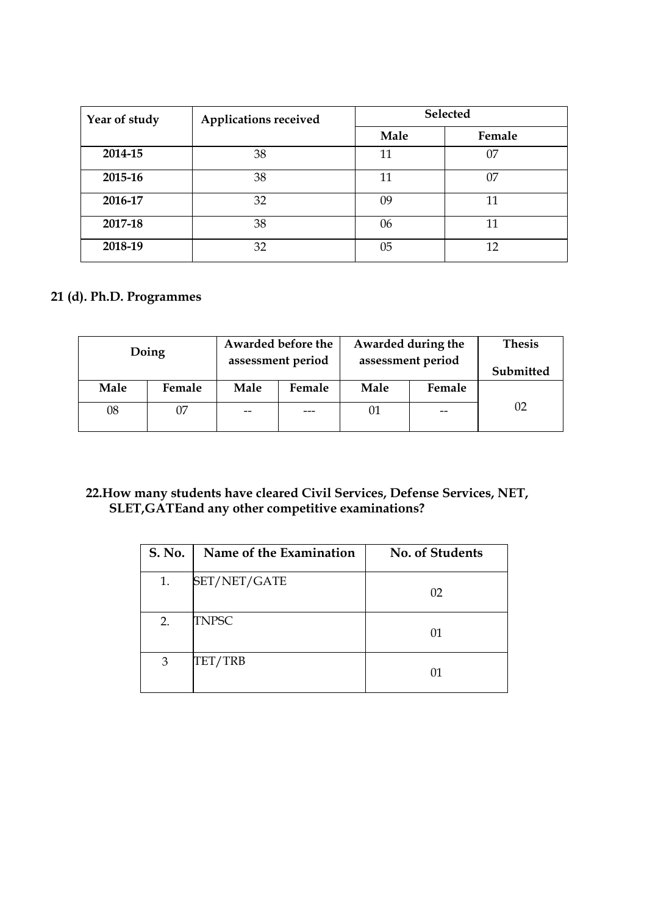| Year of study | <b>Applications received</b> |      | Selected |
|---------------|------------------------------|------|----------|
|               |                              | Male | Female   |
| 2014-15       | 38                           | 11   | 07       |
| 2015-16       | 38                           | 11   | 07       |
| 2016-17       | 32                           | 09   |          |
| 2017-18       | 38                           | 06   | 11       |
| 2018-19       | 32                           | 05   | 12       |

### **21 (d). Ph.D. Programmes**

|      | Doing  |                   | Awarded before the | Awarded during the | <b>Thesis</b> |           |  |
|------|--------|-------------------|--------------------|--------------------|---------------|-----------|--|
|      |        | assessment period |                    | assessment period  |               | Submitted |  |
| Male | Female | Male              | Female             | Male               | Female        |           |  |
| 08   | 07     | $- -$             |                    |                    | $- -$         | 02        |  |
|      |        |                   |                    |                    |               |           |  |

#### **22.How many students have cleared Civil Services, Defense Services, NET, SLET,GATEand any other competitive examinations?**

| <b>S. No.</b> | Name of the Examination | No. of Students |
|---------------|-------------------------|-----------------|
| 1.            | SET/NET/GATE            | 02              |
| 2.            | <b>TNPSC</b>            | 01              |
| 3             | TET/TRB                 | 01              |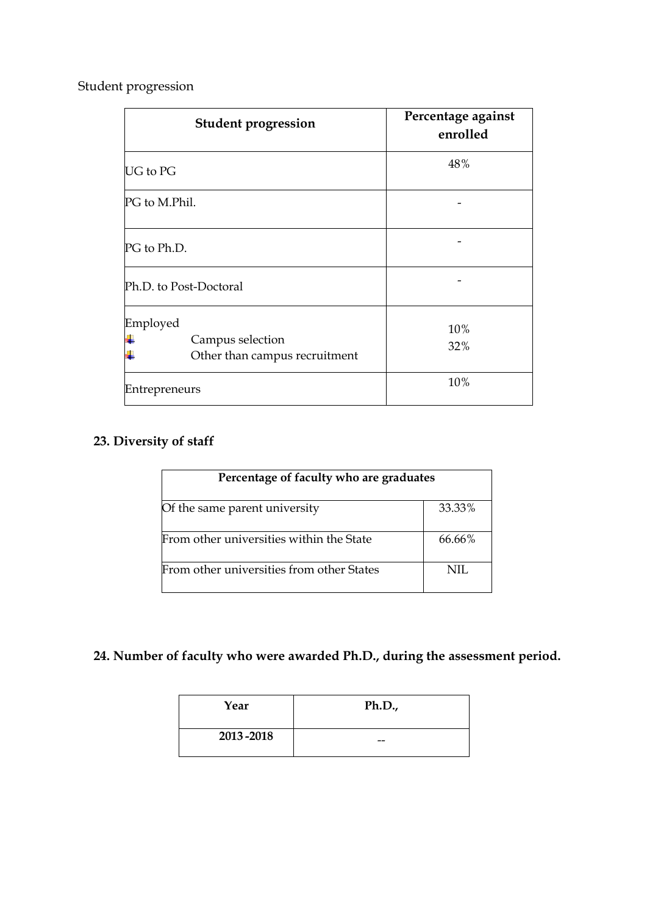Student progression

| <b>Student progression</b>                                    | Percentage against<br>enrolled |
|---------------------------------------------------------------|--------------------------------|
| <b>UG</b> to PG                                               | 48%                            |
| PG to M.Phil.                                                 |                                |
| PG to Ph.D.                                                   |                                |
| Ph.D. to Post-Doctoral                                        |                                |
| Employed<br>Campus selection<br>Other than campus recruitment | 10%<br>32%                     |
| Entrepreneurs                                                 | 10%                            |

# **23. Diversity of staff**

| Percentage of faculty who are graduates   |           |
|-------------------------------------------|-----------|
| Of the same parent university             | 33.33%    |
| From other universities within the State  | $66.66\%$ |
| From other universities from other States | NIL.      |

# **24. Number of faculty who were awarded Ph.D., during the assessment period.**

| Year      | Ph.D., |
|-----------|--------|
| 2013-2018 | --     |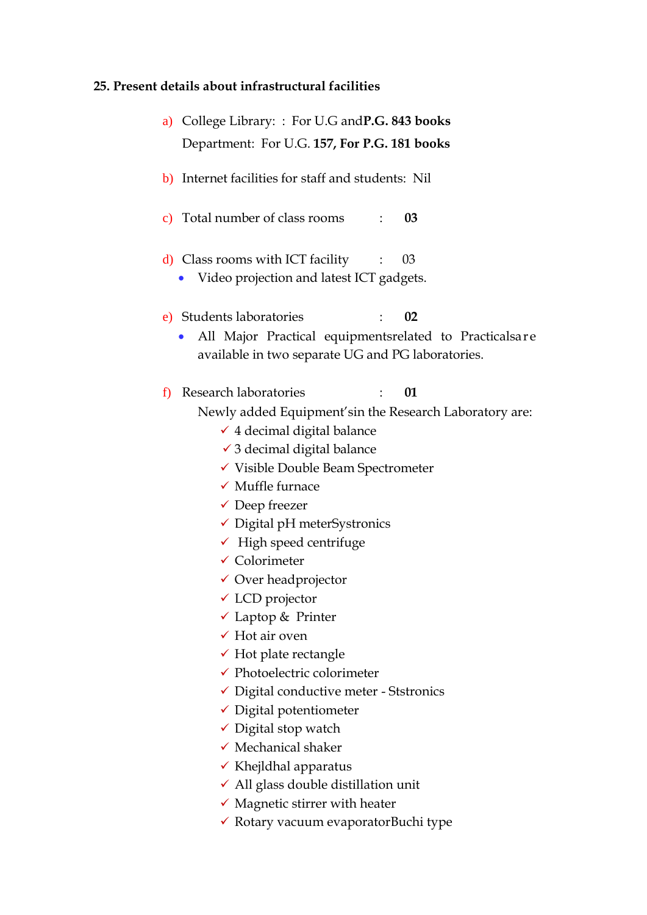# **25. Present details about infrastructural facilities**

| a) | College Library:: For U.G and <b>P.G. 843 books</b>                                                                   |
|----|-----------------------------------------------------------------------------------------------------------------------|
|    | Department: For U.G. 157, For P.G. 181 books                                                                          |
|    | b) Internet facilities for staff and students: Nil                                                                    |
|    | c) Total number of class rooms<br>03                                                                                  |
|    | $\mathbf d$ ) Class rooms with ICT facility<br>03<br>$\ddot{\phantom{0}}$<br>Video projection and latest ICT gadgets. |
|    | e) Students laboratories<br>02                                                                                        |
|    | All Major Practical equipmentsrelated to Practicalsare<br>available in two separate UG and PG laboratories.           |
| f  | Research laboratories<br>01                                                                                           |
|    | Newly added Equipment'sin the Research Laboratory are:                                                                |
|    | $\checkmark$ 4 decimal digital balance                                                                                |
|    | $\checkmark$ 3 decimal digital balance                                                                                |
|    | √ Visible Double Beam Spectrometer                                                                                    |
|    | $\checkmark$ Muffle furnace                                                                                           |
|    | $\checkmark$ Deep freezer                                                                                             |
|    | $\checkmark$ Digital pH meterSystronics                                                                               |
|    | $\checkmark$ High speed centrifuge                                                                                    |
|    | $\checkmark$ Colorimeter                                                                                              |
|    | $\checkmark$ Over headprojector                                                                                       |
|    | $\checkmark$ LCD projector                                                                                            |
|    | $\checkmark$ Laptop & Printer                                                                                         |
|    | $\checkmark$ Hot air oven                                                                                             |
|    | $\checkmark$ Hot plate rectangle                                                                                      |
|    | $\checkmark$ Photoelectric colorimeter                                                                                |
|    | $\checkmark$ Digital conductive meter - Ststronics                                                                    |
|    | $\checkmark$ Digital potentiometer                                                                                    |
|    | $\checkmark$ Digital stop watch                                                                                       |
|    | $\checkmark$ Mechanical shaker                                                                                        |
|    | $\checkmark$ Khejldhal apparatus                                                                                      |
|    | $\checkmark$ All glass double distillation unit                                                                       |
|    | $\checkmark$ Magnetic stirrer with heater                                                                             |

 $\checkmark$  Rotary vacuum evaporatorBuchi type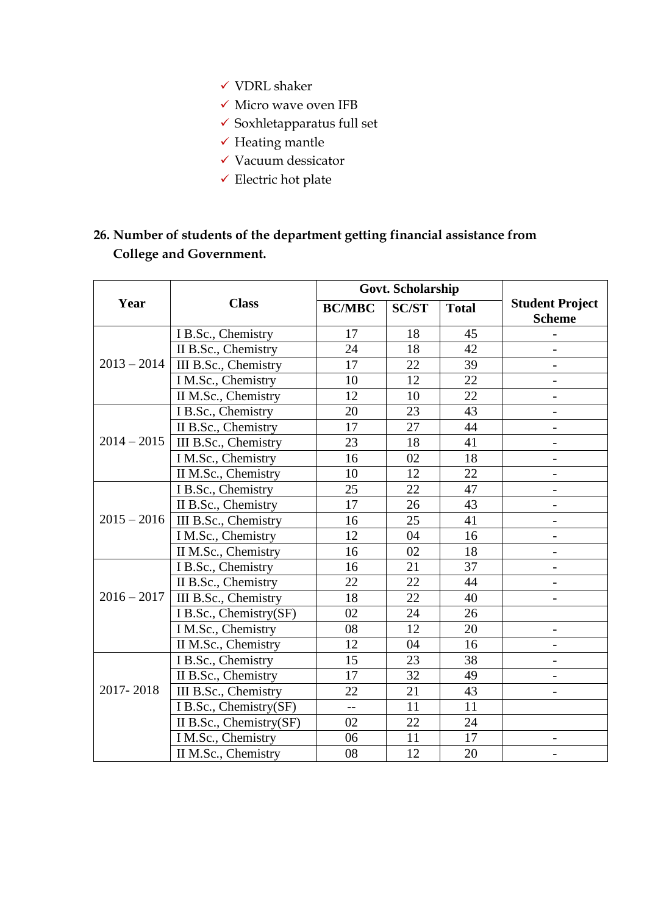- $\checkmark$  VDRL shaker
- $\checkmark$ Micro wave oven IFB
- $\checkmark$  Soxhletapparatus full set
- $\checkmark$  Heating mantle
- $\checkmark$  Vacuum dessicator
- $\checkmark$  Electric hot plate

# **26. Number of students of the department getting financial assistance from College and Government.**

|               | <b>Class</b>            |                | Govt. Scholarship |              |                                         |
|---------------|-------------------------|----------------|-------------------|--------------|-----------------------------------------|
| Year          |                         | <b>BC/MBC</b>  | <b>SC/ST</b>      | <b>Total</b> | <b>Student Project</b><br><b>Scheme</b> |
|               | I B.Sc., Chemistry      | 17             | 18                | 45           |                                         |
|               | II B.Sc., Chemistry     | 24             | 18                | 42           |                                         |
| $2013 - 2014$ | III B.Sc., Chemistry    | 17             | 22                | 39           | $\overline{\phantom{a}}$                |
|               | I M.Sc., Chemistry      | 10             | 12                | 22           |                                         |
|               | II M.Sc., Chemistry     | 12             | 10                | 22           | $\overline{\phantom{0}}$                |
|               | I B.Sc., Chemistry      | 20             | 23                | 43           |                                         |
|               | II B.Sc., Chemistry     | 17             | 27                | 44           | $\overline{\phantom{0}}$                |
| $2014 - 2015$ | III B.Sc., Chemistry    | 23             | 18                | 41           | $\overline{\phantom{0}}$                |
|               | I M.Sc., Chemistry      | 16             | 02                | 18           | $\overline{\phantom{0}}$                |
|               | II M.Sc., Chemistry     | 10             | 12                | 22           | $\overline{\phantom{0}}$                |
|               | I B.Sc., Chemistry      | 25             | 22                | 47           |                                         |
|               | II B.Sc., Chemistry     | 17             | 26                | 43           |                                         |
| $2015 - 2016$ | III B.Sc., Chemistry    | 16             | 25                | 41           |                                         |
|               | I M.Sc., Chemistry      | 12             | 04                | 16           |                                         |
|               | II M.Sc., Chemistry     | 16             | 02                | 18           | $\overline{a}$                          |
|               | I B.Sc., Chemistry      | 16             | 21                | 37           |                                         |
|               | II B.Sc., Chemistry     | 22             | 22                | 44           | $\overline{\phantom{0}}$                |
| $2016 - 2017$ | III B.Sc., Chemistry    | 18             | 22                | 40           | $\overline{\phantom{0}}$                |
|               | I B.Sc., Chemistry(SF)  | 02             | 24                | 26           |                                         |
|               | I M.Sc., Chemistry      | 08             | 12                | 20           | $\qquad \qquad -$                       |
|               | II M.Sc., Chemistry     | 12             | 04                | 16           |                                         |
|               | I B.Sc., Chemistry      | 15             | 23                | 38           | $\overline{a}$                          |
| 2017-2018     | II B.Sc., Chemistry     | 17             | 32                | 49           | $\overline{\phantom{a}}$                |
|               | III B.Sc., Chemistry    | 22             | 21                | 43           |                                         |
|               | I B.Sc., Chemistry(SF)  | $\overline{a}$ | 11                | 11           |                                         |
|               | II B.Sc., Chemistry(SF) | 02             | 22                | 24           |                                         |
|               | I M.Sc., Chemistry      | 06             | 11                | 17           |                                         |
|               | II M.Sc., Chemistry     | 08             | 12                | 20           |                                         |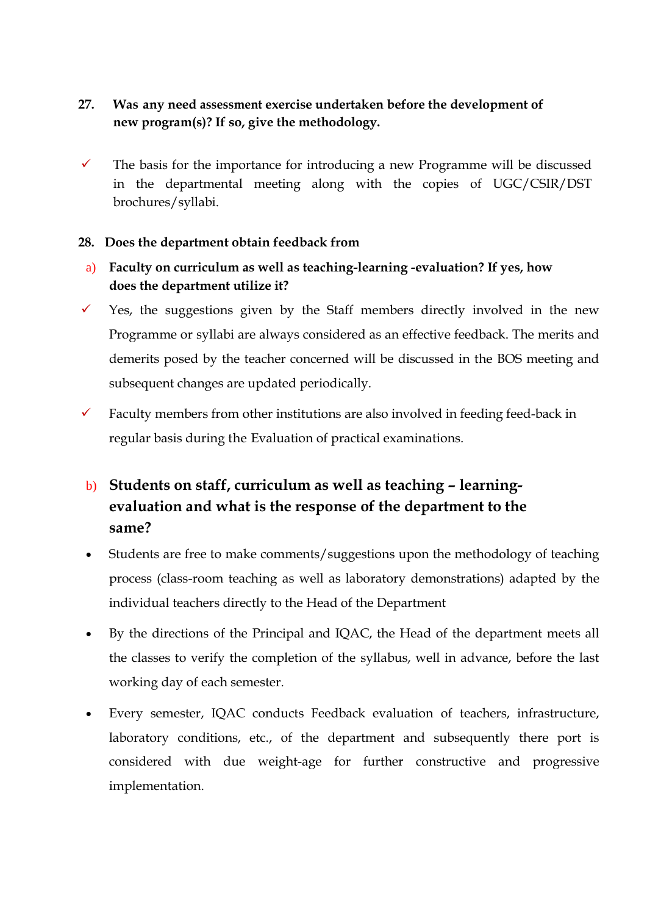## **27. Was any need assessment exercise undertaken before the development of new program(s)? If so, give the methodology.**

 $\checkmark$  The basis for the importance for introducing a new Programme will be discussed in the departmental meeting along with the copies of UGC/CSIR/DST brochures/syllabi.

#### **28. Does the department obtain feedback from**

- a) **Faculty on curriculum as well as teaching-learning -evaluation? If yes, how does the department utilize it?**
- $\checkmark$  Yes, the suggestions given by the Staff members directly involved in the new Programme or syllabi are always considered as an effective feedback. The merits and demerits posed by the teacher concerned will be discussed in the BOS meeting and subsequent changes are updated periodically.
- $\checkmark$  Faculty members from other institutions are also involved in feeding feed-back in regular basis during the Evaluation of practical examinations.

# b) **Students on staff, curriculum as well as teaching – learningevaluation and what is the response of the department to the same?**

- Students are free to make comments/suggestions upon the methodology of teaching process (class-room teaching as well as laboratory demonstrations) adapted by the individual teachers directly to the Head of the Department
- By the directions of the Principal and IQAC, the Head of the department meets all the classes to verify the completion of the syllabus, well in advance, before the last working day of each semester.
- Every semester, IQAC conducts Feedback evaluation of teachers, infrastructure, laboratory conditions, etc., of the department and subsequently there port is considered with due weight-age for further constructive and progressive implementation.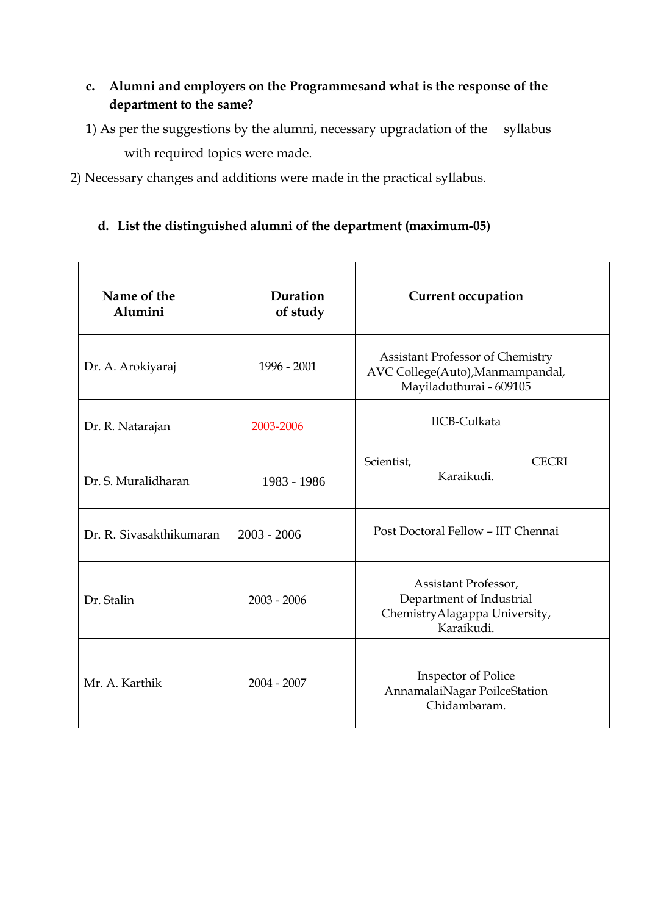## **c. Alumni and employers on the Programmesand what is the response of the department to the same?**

- 1) As per the suggestions by the alumni, necessary upgradation of the syllabus with required topics were made.
- 2) Necessary changes and additions were made in the practical syllabus.

## **d. List the distinguished alumni of the department (maximum-05)**

| Name of the<br>Alumini   | Duration<br>of study | <b>Current occupation</b>                                                                              |
|--------------------------|----------------------|--------------------------------------------------------------------------------------------------------|
| Dr. A. Arokiyaraj        | 1996 - 2001          | <b>Assistant Professor of Chemistry</b><br>AVC College(Auto), Manmampandal,<br>Mayiladuthurai - 609105 |
| Dr. R. Natarajan         | 2003-2006            | <b>IICB-Culkata</b>                                                                                    |
| Dr. S. Muralidharan      | 1983 - 1986          | Scientist,<br><b>CECRI</b><br>Karaikudi.                                                               |
| Dr. R. Sivasakthikumaran | $2003 - 2006$        | Post Doctoral Fellow - IIT Chennai                                                                     |
| Dr. Stalin               | $2003 - 2006$        | Assistant Professor,<br>Department of Industrial<br>ChemistryAlagappa University,<br>Karaikudi.        |
| Mr. A. Karthik           | $2004 - 2007$        | <b>Inspector of Police</b><br>AnnamalaiNagar PoilceStation<br>Chidambaram.                             |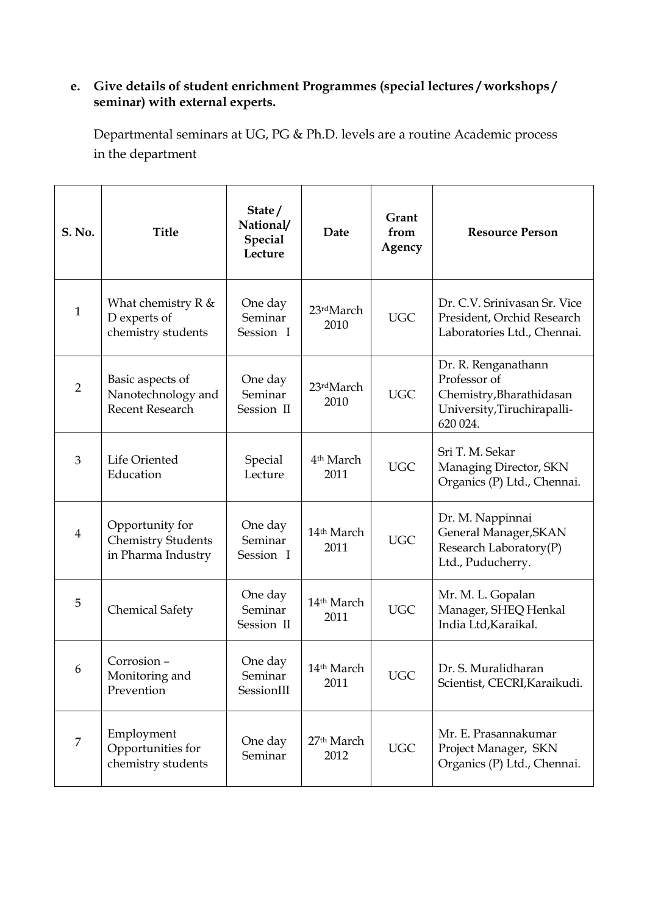#### **e. Give details of student enrichment Programmes (special lectures / workshops / seminar) with external experts.**

Departmental seminars at UG, PG & Ph.D. levels are a routine Academic process in the department

| S. No.         | <b>Title</b>                                                                | State/<br>National/<br><b>Special</b><br>Lecture | Date                           | Grant<br>from<br>Agency | <b>Resource Person</b>                                                                                     |
|----------------|-----------------------------------------------------------------------------|--------------------------------------------------|--------------------------------|-------------------------|------------------------------------------------------------------------------------------------------------|
| $\mathbf{1}$   | What chemistry $R \&$<br>D experts of<br>chemistry students                 | One day<br>Seminar<br>Session I                  | 23rdMarch<br>2010              | <b>UGC</b>              | Dr. C.V. Srinivasan Sr. Vice<br>President, Orchid Research<br>Laboratories Ltd., Chennai.                  |
| $\overline{2}$ | Basic aspects of<br>Nanotechnology and<br>Recent Research                   | One day<br>Seminar<br>Session II                 | 23rdMarch<br>2010              | <b>UGC</b>              | Dr. R. Renganathann<br>Professor of<br>Chemistry, Bharathidasan<br>University, Tiruchirapalli-<br>620 024. |
| 3              | Life Oriented<br>Education                                                  | Special<br>Lecture                               | 4 <sup>th</sup> March<br>2011  | <b>UGC</b>              | Sri T. M. Sekar<br>Managing Director, SKN<br>Organics (P) Ltd., Chennai.                                   |
| $\overline{4}$ | Opportunity for<br><b>Chemistry Students</b><br>in Pharma Industry          | One day<br>Seminar<br>Session I                  | 14 <sup>th</sup> March<br>2011 | <b>UGC</b>              | Dr. M. Nappinnai<br>General Manager, SKAN<br>Research Laboratory(P)<br>Ltd., Puducherry.                   |
| 5              | <b>Chemical Safety</b>                                                      | One day<br>Seminar<br>Session II                 | 14th March<br>2011             | <b>UGC</b>              | Mr. M. L. Gopalan<br>Manager, SHEQ Henkal<br>India Ltd, Karaikal.                                          |
| 6              | Corrosion -<br>Monitoring and<br>Prevention                                 | One day<br>Seminar<br>SessionIII                 | 14 <sup>th</sup> March<br>2011 | UGC                     | Dr. S. Muralidharan<br>Scientist, CECRI, Karaikudi.                                                        |
| $\overline{7}$ | Employment<br>One day<br>Opportunities for<br>Seminar<br>chemistry students |                                                  | 27 <sup>th</sup> March<br>2012 | <b>UGC</b>              | Mr. E. Prasannakumar<br>Project Manager, SKN<br>Organics (P) Ltd., Chennai.                                |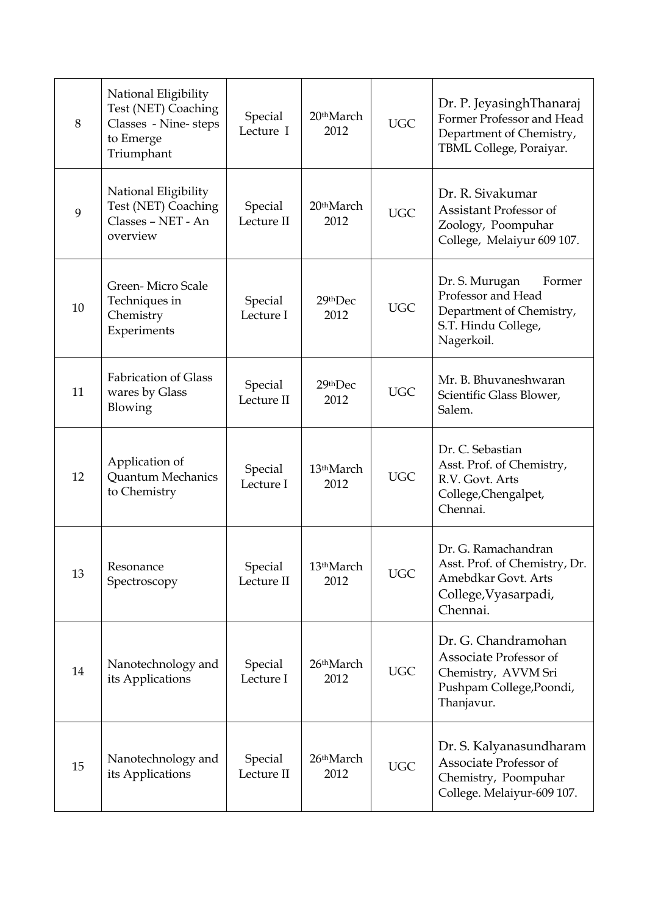| 8  | National Eligibility<br>Test (NET) Coaching<br>Classes - Nine-steps<br>to Emerge<br>Triumphant | Special<br>Lecture I  | 20 <sup>th</sup> March<br>2012 | <b>UGC</b> | Dr. P. JeyasinghThanaraj<br>Former Professor and Head<br>Department of Chemistry,<br>TBML College, Poraiyar.    |
|----|------------------------------------------------------------------------------------------------|-----------------------|--------------------------------|------------|-----------------------------------------------------------------------------------------------------------------|
| 9  | National Eligibility<br>Test (NET) Coaching<br>Classes - NET - An<br>overview                  | Special<br>Lecture II | 20 <sup>th</sup> March<br>2012 | <b>UGC</b> | Dr. R. Sivakumar<br><b>Assistant Professor of</b><br>Zoology, Poompuhar<br>College, Melaiyur 609 107.           |
| 10 | Green-Micro Scale<br>Techniques in<br>Chemistry<br>Experiments                                 | Special<br>Lecture I  | 29thDec<br>2012                | <b>UGC</b> | Dr. S. Murugan<br>Former<br>Professor and Head<br>Department of Chemistry,<br>S.T. Hindu College,<br>Nagerkoil. |
| 11 | <b>Fabrication of Glass</b><br>wares by Glass<br>Blowing                                       | Special<br>Lecture II | 29thDec<br>2012                | <b>UGC</b> | Mr. B. Bhuvaneshwaran<br>Scientific Glass Blower,<br>Salem.                                                     |
| 12 | Application of<br><b>Quantum Mechanics</b><br>to Chemistry                                     | Special<br>Lecture I  | 13 <sup>th</sup> March<br>2012 | <b>UGC</b> | Dr. C. Sebastian<br>Asst. Prof. of Chemistry,<br>R.V. Govt. Arts<br>College, Chengalpet,<br>Chennai.            |
| 13 | Resonance<br>Spectroscopy                                                                      | Special<br>Lecture II | 13 <sup>th</sup> March<br>2012 | <b>UGC</b> | Dr. G. Ramachandran<br>Asst. Prof. of Chemistry, Dr.<br>Amebdkar Govt. Arts<br>College, Vyasarpadi,<br>Chennai. |
| 14 | Nanotechnology and<br>its Applications                                                         | Special<br>Lecture I  | 26 <sup>th</sup> March<br>2012 | <b>UGC</b> | Dr. G. Chandramohan<br>Associate Professor of<br>Chemistry, AVVM Sri<br>Pushpam College, Poondi,<br>Thanjavur.  |
| 15 | Nanotechnology and<br>its Applications                                                         | Special<br>Lecture II | 26 <sup>th</sup> March<br>2012 | <b>UGC</b> | Dr. S. Kalyanasundharam<br>Associate Professor of<br>Chemistry, Poompuhar<br>College. Melaiyur-609 107.         |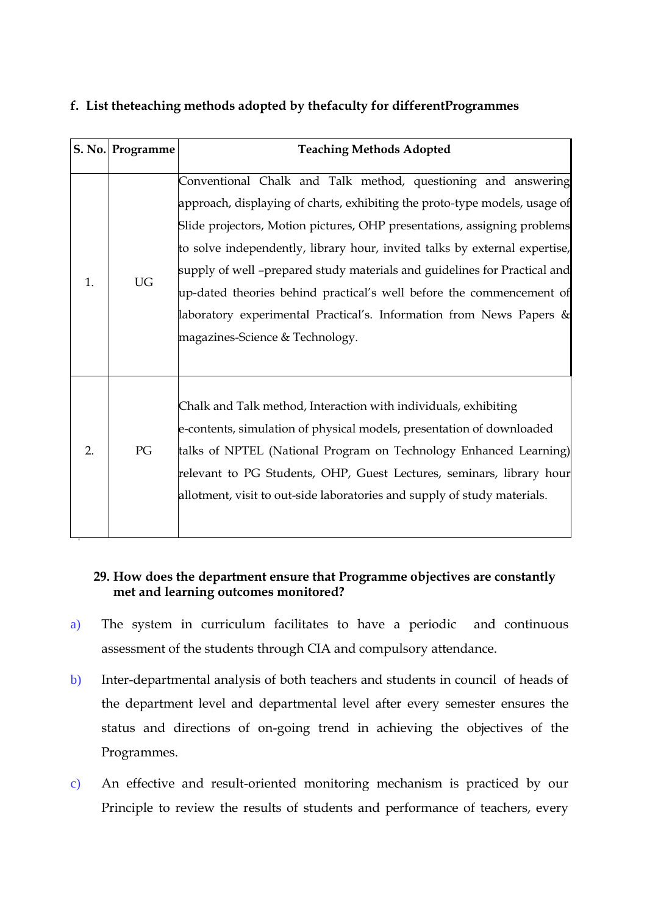#### **f. List theteaching methods adopted by thefaculty for differentProgrammes**

|                  | S. No. Programme | <b>Teaching Methods Adopted</b>                                                                                                                                                                                                                                                                                                                                                                                                                                                                                                                                      |
|------------------|------------------|----------------------------------------------------------------------------------------------------------------------------------------------------------------------------------------------------------------------------------------------------------------------------------------------------------------------------------------------------------------------------------------------------------------------------------------------------------------------------------------------------------------------------------------------------------------------|
| 1.               | <b>UG</b>        | Conventional Chalk and Talk method, questioning and answering<br>approach, displaying of charts, exhibiting the proto-type models, usage of<br>Slide projectors, Motion pictures, OHP presentations, assigning problems<br>to solve independently, library hour, invited talks by external expertise,<br>supply of well -prepared study materials and guidelines for Practical and<br>up-dated theories behind practical's well before the commencement of<br>laboratory experimental Practical's. Information from News Papers &<br>magazines-Science & Technology. |
| $\overline{2}$ . | PG               | Chalk and Talk method, Interaction with individuals, exhibiting<br>e-contents, simulation of physical models, presentation of downloaded<br>talks of NPTEL (National Program on Technology Enhanced Learning)<br>relevant to PG Students, OHP, Guest Lectures, seminars, library hour<br>allotment, visit to out-side laboratories and supply of study materials.                                                                                                                                                                                                    |

#### **29. How does the department ensure that Programme objectives are constantly met and learning outcomes monitored?**

- a) The system in curriculum facilitates to have a periodic and continuous assessment of the students through CIA and compulsory attendance.
- b) Inter-departmental analysis of both teachers and students in council of heads of the department level and departmental level after every semester ensures the status and directions of on-going trend in achieving the objectives of the Programmes.
- c) An effective and result-oriented monitoring mechanism is practiced by our Principle to review the results of students and performance of teachers, every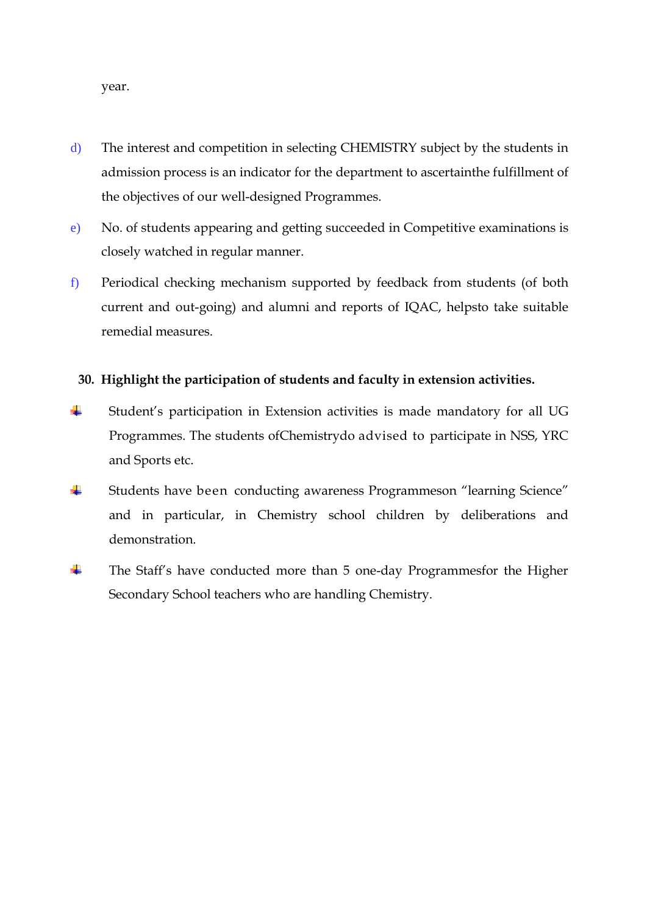year.

- d) The interest and competition in selecting CHEMISTRY subject by the students in admission process is an indicator for the department to ascertainthe fulfillment of the objectives of our well-designed Programmes.
- e) No. of students appearing and getting succeeded in Competitive examinations is closely watched in regular manner.
- f) Periodical checking mechanism supported by feedback from students (of both current and out-going) and alumni and reports of IQAC, helpsto take suitable remedial measures.

#### **30. Highlight the participation of students and faculty in extension activities.**

- ÷ Student's participation in Extension activities is made mandatory for all UG Programmes. The students ofChemistrydo advised to participate in NSS, YRC and Sports etc.
- ÷ Students have been conducting awareness Programmeson "learning Science" and in particular, in Chemistry school children by deliberations and demonstration.
- ÷ The Staff's have conducted more than 5 one-day Programmesfor the Higher Secondary School teachers who are handling Chemistry.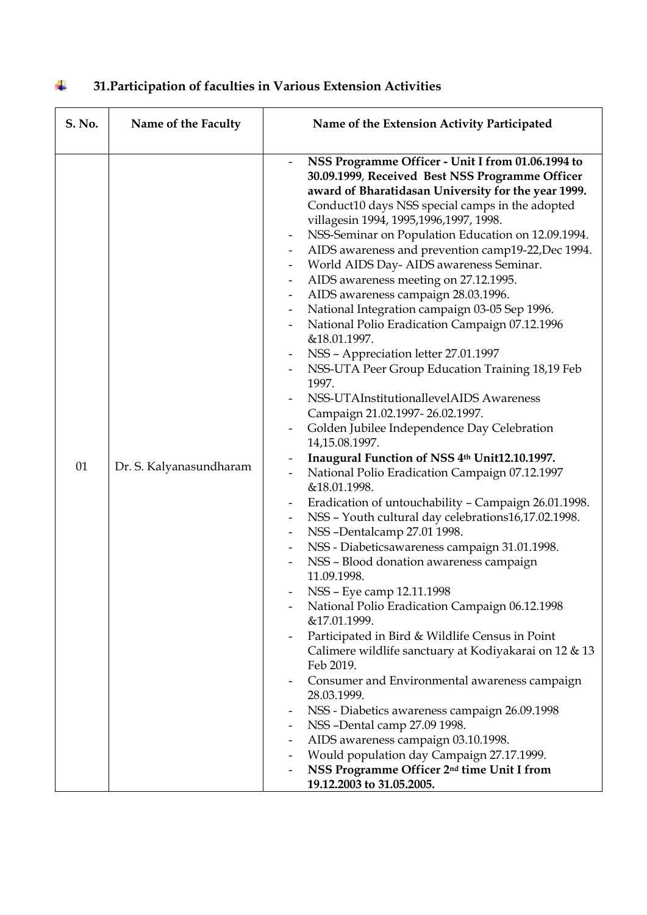| S. No. | Name of the Faculty     | Name of the Extension Activity Participated                                                                                                                                                                                                                                                                                                                                                                                                                                                                                                                                                                                                                                                                                                                                                                                                                                                                                                                                                                                                                                                                                                                                                                                                                                                                                                                                                                                                                                                                                                                                                                                                                                                                                                                                                                                                                                                                           |
|--------|-------------------------|-----------------------------------------------------------------------------------------------------------------------------------------------------------------------------------------------------------------------------------------------------------------------------------------------------------------------------------------------------------------------------------------------------------------------------------------------------------------------------------------------------------------------------------------------------------------------------------------------------------------------------------------------------------------------------------------------------------------------------------------------------------------------------------------------------------------------------------------------------------------------------------------------------------------------------------------------------------------------------------------------------------------------------------------------------------------------------------------------------------------------------------------------------------------------------------------------------------------------------------------------------------------------------------------------------------------------------------------------------------------------------------------------------------------------------------------------------------------------------------------------------------------------------------------------------------------------------------------------------------------------------------------------------------------------------------------------------------------------------------------------------------------------------------------------------------------------------------------------------------------------------------------------------------------------|
| 01     | Dr. S. Kalyanasundharam | NSS Programme Officer - Unit I from 01.06.1994 to<br>30.09.1999, Received Best NSS Programme Officer<br>award of Bharatidasan University for the year 1999.<br>Conduct10 days NSS special camps in the adopted<br>villagesin 1994, 1995, 1996, 1997, 1998.<br>NSS-Seminar on Population Education on 12.09.1994.<br>AIDS awareness and prevention camp19-22, Dec 1994.<br>$\overline{\phantom{a}}$<br>World AIDS Day- AIDS awareness Seminar.<br>AIDS awareness meeting on 27.12.1995.<br>AIDS awareness campaign 28.03.1996.<br>$\overline{\phantom{a}}$<br>National Integration campaign 03-05 Sep 1996.<br>$\overline{\phantom{a}}$<br>National Polio Eradication Campaign 07.12.1996<br>&18.01.1997.<br>NSS - Appreciation letter 27.01.1997<br>NSS-UTA Peer Group Education Training 18,19 Feb<br>1997.<br>NSS-UTAInstitutionallevelAIDS Awareness<br>Campaign 21.02.1997-26.02.1997.<br>Golden Jubilee Independence Day Celebration<br>14,15.08.1997.<br>Inaugural Function of NSS 4th Unit12.10.1997.<br>National Polio Eradication Campaign 07.12.1997<br>&18.01.1998.<br>Eradication of untouchability - Campaign 26.01.1998.<br>NSS - Youth cultural day celebrations16,17.02.1998.<br>NSS-Dentalcamp 27.01 1998.<br>$\overline{\phantom{a}}$<br>NSS - Diabeticsawareness campaign 31.01.1998.<br>NSS - Blood donation awareness campaign<br>11.09.1998.<br>NSS - Eye camp 12.11.1998<br>National Polio Eradication Campaign 06.12.1998<br>&17.01.1999.<br>Participated in Bird & Wildlife Census in Point<br>Calimere wildlife sanctuary at Kodiyakarai on 12 & 13<br>Feb 2019.<br>Consumer and Environmental awareness campaign<br>28.03.1999.<br>NSS - Diabetics awareness campaign 26.09.1998<br>NSS-Dental camp 27.09 1998.<br>AIDS awareness campaign 03.10.1998.<br>Would population day Campaign 27.17.1999.<br>NSS Programme Officer 2 <sup>nd</sup> time Unit I from<br>19.12.2003 to 31.05.2005. |

#### **31.Participation of faculties in Various Extension Activities**  $\ddagger$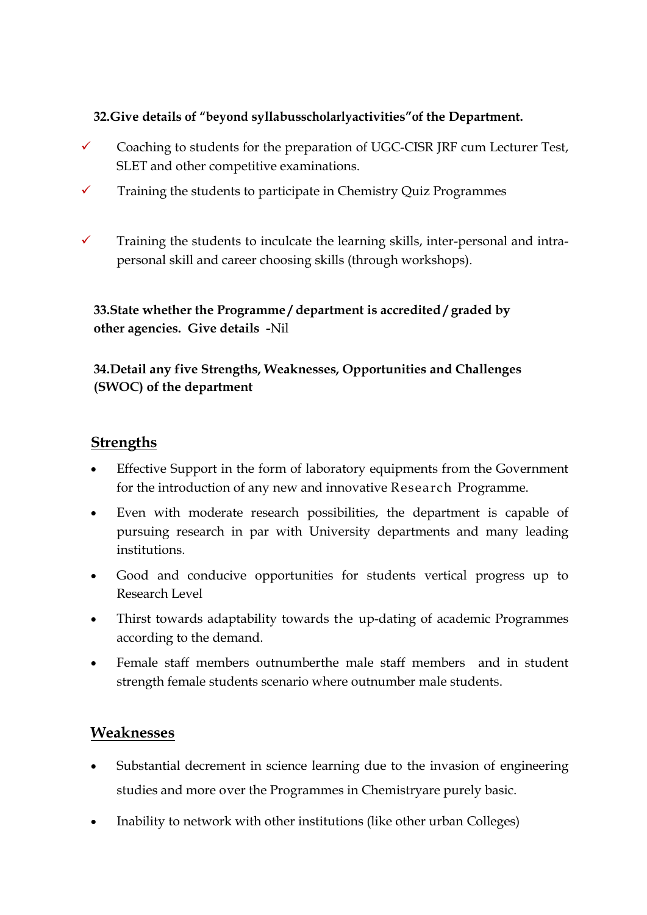### **32.Give details of "beyond syllabusscholarlyactivities"of the Department.**

- Coaching to students for the preparation of UGC-CISR JRF cum Lecturer Test, SLET and other competitive examinations.
- $\checkmark$  Training the students to participate in Chemistry Quiz Programmes
- $\checkmark$  Training the students to inculcate the learning skills, inter-personal and intrapersonal skill and career choosing skills (through workshops).

**33.State whether the Programme / department is accredited / graded by other agencies. Give details -**Nil

## **34.Detail any five Strengths, Weaknesses, Opportunities and Challenges (SWOC) of the department**

# **Strengths**

- Effective Support in the form of laboratory equipments from the Government for the introduction of any new and innovative Research Programme.
- Even with moderate research possibilities, the department is capable of pursuing research in par with University departments and many leading institutions.
- Good and conducive opportunities for students vertical progress up to Research Level
- Thirst towards adaptability towards the up-dating of academic Programmes according to the demand.
- Female staff members outnumberthe male staff members and in student strength female students scenario where outnumber male students.

## **Weaknesses**

- Substantial decrement in science learning due to the invasion of engineering studies and more over the Programmes in Chemistryare purely basic.
- Inability to network with other institutions (like other urban Colleges)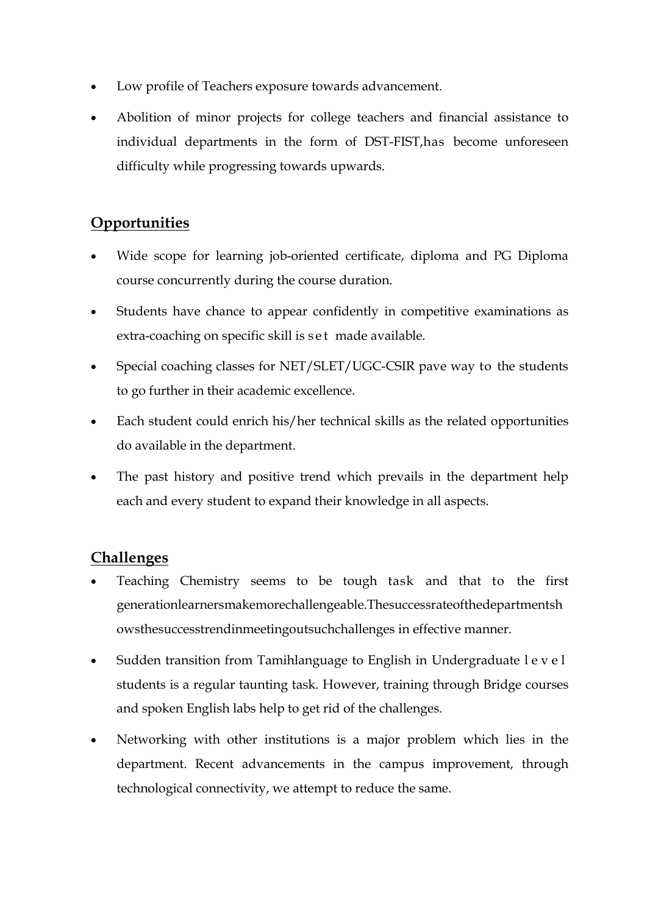- Low profile of Teachers exposure towards advancement.
- Abolition of minor projects for college teachers and financial assistance to individual departments in the form of DST-FIST,has become unforeseen difficulty while progressing towards upwards.

# **Opportunities**

- Wide scope for learning job-oriented certificate, diploma and PG Diploma course concurrently during the course duration.
- Students have chance to appear confidently in competitive examinations as extra-coaching on specific skill is set made available.
- Special coaching classes for NET/SLET/UGC-CSIR pave way to the students to go further in their academic excellence.
- Each student could enrich his/her technical skills as the related opportunities do available in the department.
- The past history and positive trend which prevails in the department help each and every student to expand their knowledge in all aspects.

# **Challenges**

- Teaching Chemistry seems to be tough task and that to the first generationlearnersmakemorechallengeable.Thesuccessrateofthedepartmentsh owsthesuccesstrendinmeetingoutsuchchallenges in effective manner.
- Sudden transition from Tamihlanguage to English in Undergraduate l e v e l students is a regular taunting task. However, training through Bridge courses and spoken English labs help to get rid of the challenges.
- Networking with other institutions is a major problem which lies in the department. Recent advancements in the campus improvement, through technological connectivity, we attempt to reduce the same.